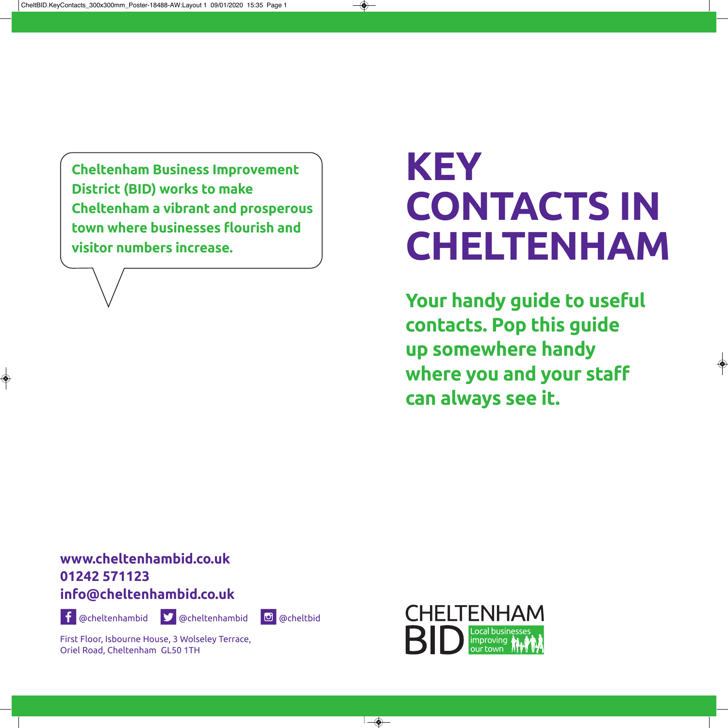**Cheltenham Business Improvement District (BID) works to make Cheltenham a vibrant and prosperous town where businesses flourish and visitor numbers increase.**

# **Key ContaCts In Cheltenham**

**your handy guide to useful contacts. Pop this guide up somewhere handy where you and your staff can always see it.**

# **www.cheltenhambid.co.uk 01242 571123 info@cheltenhambid.co.uk**



X @cheltenhambid Y @cheltenhambid [ @cheltbid

First Floor, Isbourne House, 3 Wolseley Terrace, Oriel Road, Cheltenham GL50 1TH